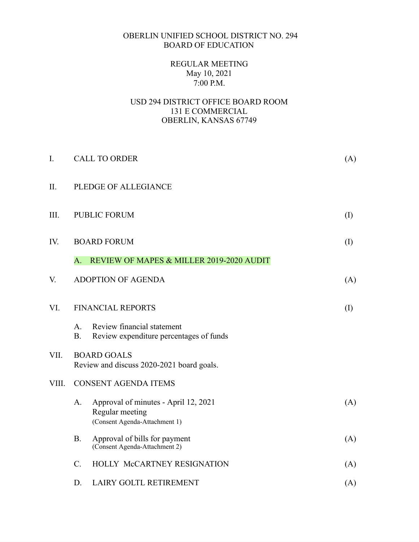## OBERLIN UNIFIED SCHOOL DISTRICT NO. 294 BOARD OF EDUCATION

# REGULAR MEETING May 10, 2021 7:00 P.M.

## USD 294 DISTRICT OFFICE BOARD ROOM 131 E COMMERCIAL OBERLIN, KANSAS 67749

| I.    |                             | <b>CALL TO ORDER</b>                                                                     |     |  |  |
|-------|-----------------------------|------------------------------------------------------------------------------------------|-----|--|--|
| II.   | PLEDGE OF ALLEGIANCE        |                                                                                          |     |  |  |
| III.  | <b>PUBLIC FORUM</b>         |                                                                                          |     |  |  |
| IV.   | <b>BOARD FORUM</b>          |                                                                                          |     |  |  |
|       | A.                          | REVIEW OF MAPES & MILLER 2019-2020 AUDIT                                                 |     |  |  |
| V.    |                             | <b>ADOPTION OF AGENDA</b>                                                                | (A) |  |  |
| VI.   |                             | <b>FINANCIAL REPORTS</b>                                                                 |     |  |  |
|       | A <sub>1</sub><br><b>B.</b> | Review financial statement<br>Review expenditure percentages of funds                    |     |  |  |
| VII.  |                             | <b>BOARD GOALS</b><br>Review and discuss 2020-2021 board goals.                          |     |  |  |
| VIII. |                             | <b>CONSENT AGENDA ITEMS</b>                                                              |     |  |  |
|       | A.                          | Approval of minutes - April 12, 2021<br>Regular meeting<br>(Consent Agenda-Attachment 1) | (A) |  |  |
|       | <b>B.</b>                   | Approval of bills for payment<br>(Consent Agenda-Attachment 2)                           | (A) |  |  |
|       | C.                          | HOLLY McCARTNEY RESIGNATION                                                              | (A) |  |  |
|       | D.                          | LAIRY GOLTL RETIREMENT                                                                   | (A) |  |  |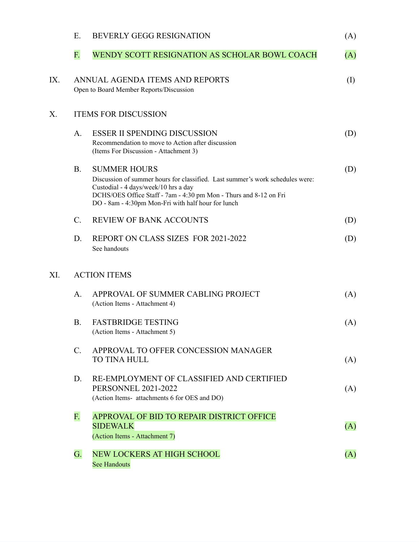|     | E.                          | <b>BEVERLY GEGG RESIGNATION</b>                                                                                                                                                                                                                                         | (A)       |  |  |  |
|-----|-----------------------------|-------------------------------------------------------------------------------------------------------------------------------------------------------------------------------------------------------------------------------------------------------------------------|-----------|--|--|--|
|     | F.                          | WENDY SCOTT RESIGNATION AS SCHOLAR BOWL COACH                                                                                                                                                                                                                           | (A)       |  |  |  |
| IX. |                             | ANNUAL AGENDA ITEMS AND REPORTS<br>Open to Board Member Reports/Discussion                                                                                                                                                                                              | $\rm (I)$ |  |  |  |
| Х.  | <b>ITEMS FOR DISCUSSION</b> |                                                                                                                                                                                                                                                                         |           |  |  |  |
|     | A.                          | <b>ESSER II SPENDING DISCUSSION</b><br>Recommendation to move to Action after discussion<br>(Items For Discussion - Attachment 3)                                                                                                                                       | (D)       |  |  |  |
|     | <b>B.</b>                   | <b>SUMMER HOURS</b><br>Discussion of summer hours for classified. Last summer's work schedules were:<br>Custodial - 4 days/week/10 hrs a day<br>DCHS/OES Office Staff - 7am - 4:30 pm Mon - Thurs and 8-12 on Fri<br>DO - 8am - 4:30pm Mon-Fri with half hour for lunch | (D)       |  |  |  |
|     | $\mathcal{C}$ .             | <b>REVIEW OF BANK ACCOUNTS</b>                                                                                                                                                                                                                                          | (D)       |  |  |  |
|     | D.                          | REPORT ON CLASS SIZES FOR 2021-2022<br>See handouts                                                                                                                                                                                                                     | (D)       |  |  |  |
| XI. |                             | <b>ACTION ITEMS</b>                                                                                                                                                                                                                                                     |           |  |  |  |
|     | A.                          | APPROVAL OF SUMMER CABLING PROJECT<br>(Action Items - Attachment 4)                                                                                                                                                                                                     | (A)       |  |  |  |
|     | <b>B.</b>                   | <b>FASTBRIDGE TESTING</b><br>(Action Items - Attachment 5)                                                                                                                                                                                                              | (A)       |  |  |  |
|     | $C_{\cdot}$                 | APPROVAL TO OFFER CONCESSION MANAGER<br><b>TO TINA HULL</b>                                                                                                                                                                                                             | (A)       |  |  |  |
|     | D.                          | RE-EMPLOYMENT OF CLASSIFIED AND CERTIFIED<br><b>PERSONNEL 2021-2022</b><br>(Action Items- attachments 6 for OES and DO)                                                                                                                                                 | (A)       |  |  |  |
|     | F.                          | APPROVAL OF BID TO REPAIR DISTRICT OFFICE<br><b>SIDEWALK</b><br>(Action Items - Attachment 7)                                                                                                                                                                           | (A)       |  |  |  |
|     | G.                          | <b>NEW LOCKERS AT HIGH SCHOOL</b><br><b>See Handouts</b>                                                                                                                                                                                                                | (A)       |  |  |  |